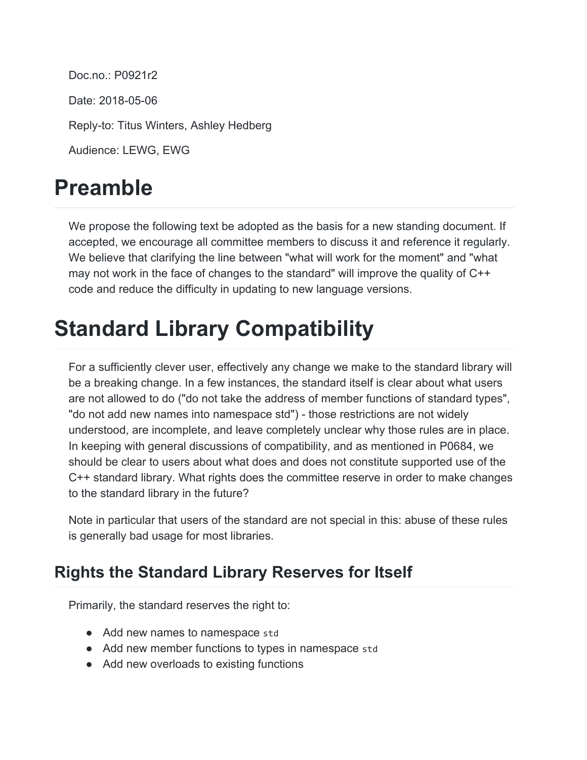Doc.no.: P0921r2 Date: 2018-05-06 Reply-to: Titus Winters, Ashley Hedberg Audience: LEWG, EWG

## **Preamble**

We propose the following text be adopted as the basis for a new standing document. If accepted, we encourage all committee members to discuss it and reference it regularly. We believe that clarifying the line between "what will work for the moment" and "what may not work in the face of changes to the standard" will improve the quality of C++ code and reduce the difficulty in updating to new language versions.

## **Standard Library Compatibility**

For a sufficiently clever user, effectively any change we make to the standard library will be a breaking change. In a few instances, the standard itself is clear about what users are not allowed to do ("do not take the address of member functions of standard types", "do not add new names into namespace std") - those restrictions are not widely understood, are incomplete, and leave completely unclear why those rules are in place. In keeping with general discussions of compatibility, and as mentioned in P0684, we should be clear to users about what does and does not constitute supported use of the C++ standard library. What rights does the committee reserve in order to make changes to the standard library in the future?

Note in particular that users of the standard are not special in this: abuse of these rules is generally bad usage for most libraries.

## **Rights the Standard Library Reserves for Itself**

Primarily, the standard reserves the right to:

- Add new names to namespace std
- Add new member functions to types in namespace std
- Add new overloads to existing functions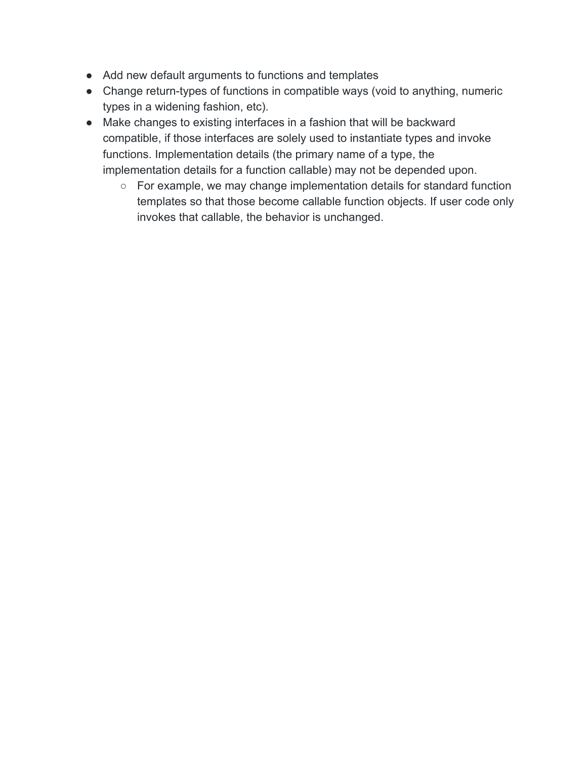- Add new default arguments to functions and templates
- Change return-types of functions in compatible ways (void to anything, numeric types in a widening fashion, etc).
- Make changes to existing interfaces in a fashion that will be backward compatible, if those interfaces are solely used to instantiate types and invoke functions. Implementation details (the primary name of a type, the implementation details for a function callable) may not be depended upon.
	- For example, we may change implementation details for standard function templates so that those become callable function objects. If user code only invokes that callable, the behavior is unchanged.